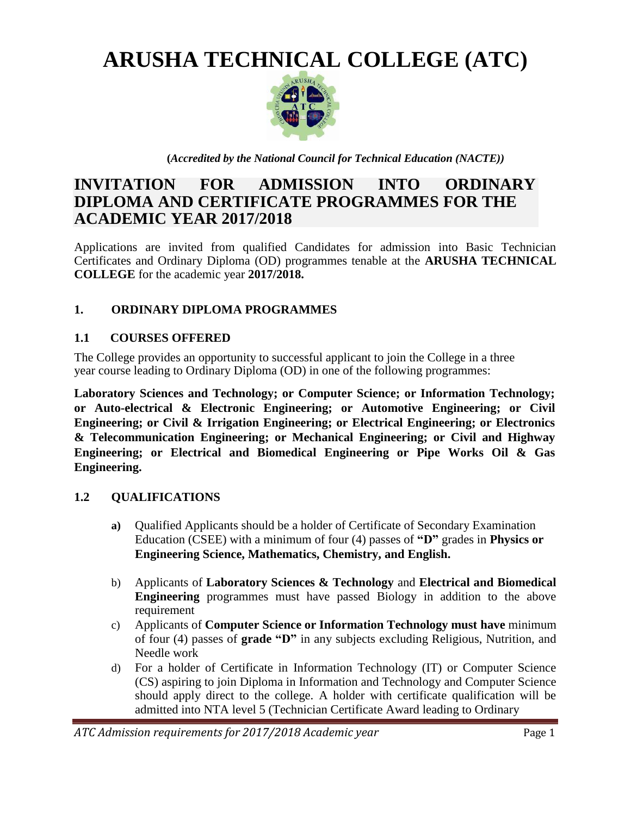**ARUSHA TECHNICAL COLLEGE (ATC)**



**(***Accredited by the National Council for Technical Education (NACTE))*

# **INVITATION FOR ADMISSION INTO ORDINARY DIPLOMA AND CERTIFICATE PROGRAMMES FOR THE ACADEMIC YEAR 2017/2018**

Applications are invited from qualified Candidates for admission into Basic Technician Certificates and Ordinary Diploma (OD) programmes tenable at the **ARUSHA TECHNICAL COLLEGE** for the academic year **2017/2018.**

## **1. ORDINARY DIPLOMA PROGRAMMES**

#### **1.1 COURSES OFFERED**

The College provides an opportunity to successful applicant to join the College in a three year course leading to Ordinary Diploma (OD) in one of the following programmes:

**Laboratory Sciences and Technology; or Computer Science; or Information Technology; or Auto-electrical & Electronic Engineering; or Automotive Engineering; or Civil Engineering; or Civil & Irrigation Engineering; or Electrical Engineering; or Electronics & Telecommunication Engineering; or Mechanical Engineering; or Civil and Highway Engineering; or Electrical and Biomedical Engineering or Pipe Works Oil & Gas Engineering.**

#### **1.2 QUALIFICATIONS**

- **a)** Qualified Applicants should be a holder of Certificate of Secondary Examination Education (CSEE) with a minimum of four (4) passes of **"D"** grades in **Physics or Engineering Science, Mathematics, Chemistry, and English.**
- b) Applicants of **Laboratory Sciences & Technology** and **Electrical and Biomedical Engineering** programmes must have passed Biology in addition to the above requirement
- c) Applicants of **Computer Science or Information Technology must have** minimum of four (4) passes of **grade "D"** in any subjects excluding Religious, Nutrition, and Needle work
- d) For a holder of Certificate in Information Technology (IT) or Computer Science (CS) aspiring to join Diploma in Information and Technology and Computer Science should apply direct to the college. A holder with certificate qualification will be admitted into NTA level 5 (Technician Certificate Award leading to Ordinary